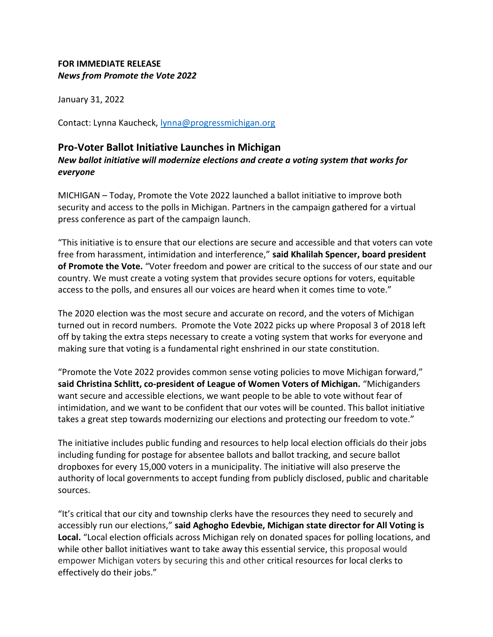## **FOR IMMEDIATE RELEASE** *News from Promote the Vote 2022*

January 31, 2022

Contact: Lynna Kaucheck, [lynna@progressmichigan.org](mailto:lynna@progressmichigan.org)

## **Pro-Voter Ballot Initiative Launches in Michigan**

*New ballot initiative will modernize elections and create a voting system that works for everyone*

MICHIGAN – Today, Promote the Vote 2022 launched a ballot initiative to improve both security and access to the polls in Michigan. Partners in the campaign gathered for a virtual press conference as part of the campaign launch.

"This initiative is to ensure that our elections are secure and accessible and that voters can vote free from harassment, intimidation and interference," **said Khalilah Spencer, board president of Promote the Vote.** "Voter freedom and power are critical to the success of our state and our country. We must create a voting system that provides secure options for voters, equitable access to the polls, and ensures all our voices are heard when it comes time to vote."

The 2020 election was the most secure and accurate on record, and the voters of Michigan turned out in record numbers. Promote the Vote 2022 picks up where Proposal 3 of 2018 left off by taking the extra steps necessary to create a voting system that works for everyone and making sure that voting is a fundamental right enshrined in our state constitution.

"Promote the Vote 2022 provides common sense voting policies to move Michigan forward," **said Christina Schlitt, co-president of League of Women Voters of Michigan.** "Michiganders want secure and accessible elections, we want people to be able to vote without fear of intimidation, and we want to be confident that our votes will be counted. This ballot initiative takes a great step towards modernizing our elections and protecting our freedom to vote."

The initiative includes public funding and resources to help local election officials do their jobs including funding for postage for absentee ballots and ballot tracking, and secure ballot dropboxes for every 15,000 voters in a municipality. The initiative will also preserve the authority of local governments to accept funding from publicly disclosed, public and charitable sources.

"It's critical that our city and township clerks have the resources they need to securely and accessibly run our elections," **said Aghogho Edevbie, Michigan state director for All Voting is Local.** "Local election officials across Michigan rely on donated spaces for polling locations, and while other ballot initiatives want to take away this essential service, this proposal would empower Michigan voters by securing this and other critical resources for local clerks to effectively do their jobs."